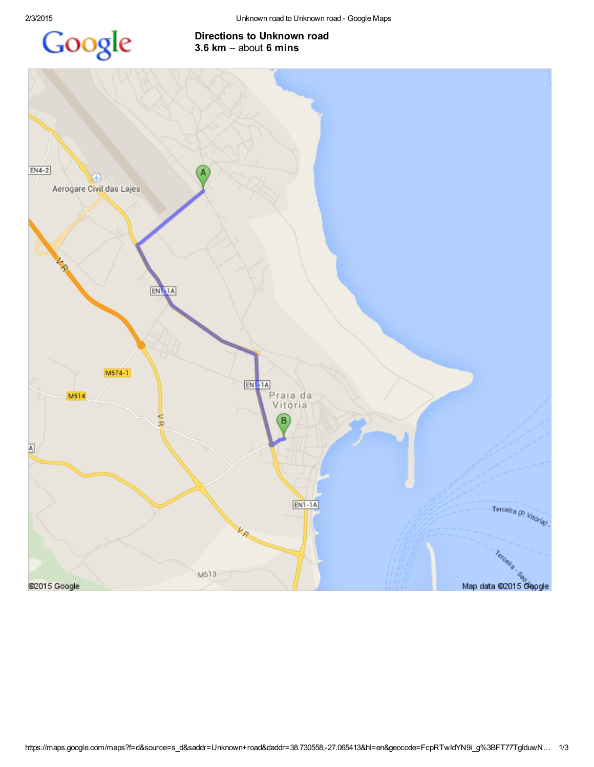

## Directions to Unknown road 3.6 km – about 6 mins

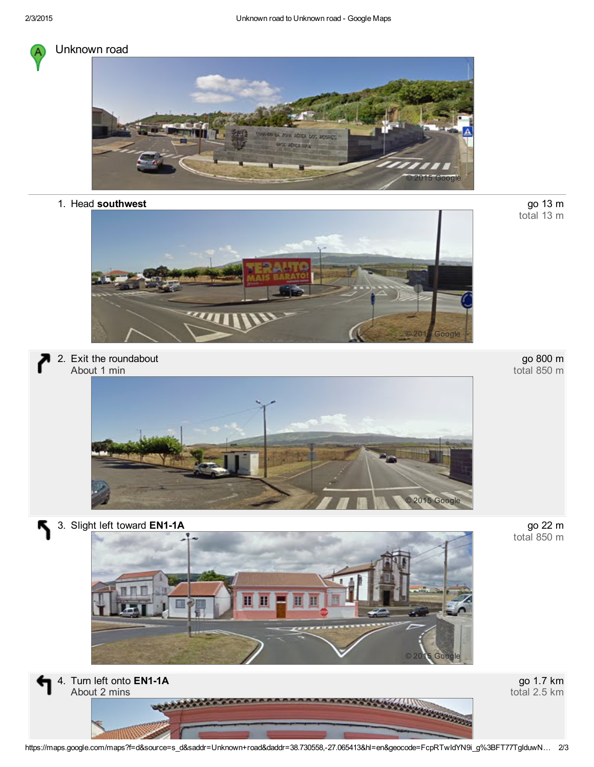

## Unknown road



1. Head southwest



2. Exit the roundabout About 1 min



go 800 m total 850 m

go 13 m<br>total 13 m



go 22 m<br>total 850 m

3. Slight left toward EN1-1A

Қ





go 1.7 km total 2.5 km